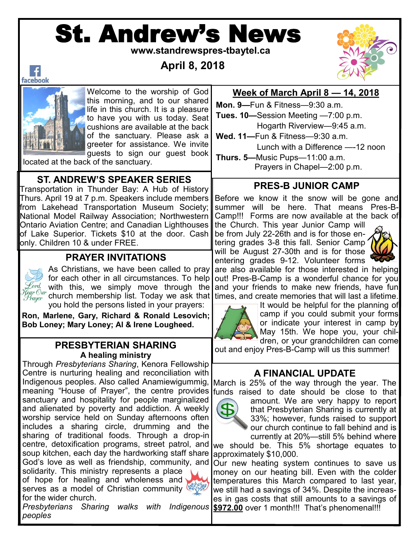# St. Andrew's News

 **www.standrewspres-tbaytel.ca**

# **April 8, 2018**



 $\vert f \vert$ facebook



Welcome to the worship of God this morning, and to our shared life in this church. It is a pleasure to have you with us today. Seat cushions are available at the back of the sanctuary. Please ask a greeter for assistance. We invite guests to sign our guest book

located at the back of the sanctuary.

### **ST. ANDREW'S SPEAKER SERIES**

Transportation in Thunder Bay: A Hub of History Thurs. April 19 at 7 p.m. Speakers include members from Lakehead Transportation Museum Society; National Model Railway Association; Northwestern Ontario Aviation Centre; and Canadian Lighthouses of Lake Superior. Tickets \$10 at the door. Cash only. Children 10 & under FREE.

#### **PRAYER INVITATIONS**



As Christians, we have been called to pray for each other in all circumstances. To help  $\mathscr{L}$ ord, with this, we simply move through the $|$  $\mathcal{F}_{\text{fegr}}$  ( $w_{\text{r}}$  with membership list. Today we ask that you hold the persons listed in your prayers:

**Ron, Marlene, Gary, Richard & Ronald Lesovich; Bob Loney; Mary Loney; Al & Irene Lougheed.**

#### **PRESBYTERIAN SHARING A healing ministry**

Through *Presbyterians Sharing*, Kenora Fellowship Centre is nurturing healing and reconciliation with Indigenous peoples. Also called Anamiewigummig, March is 25% of the way through the year. The meaning "House of Prayer", the centre provides funds raised to date should be close to that sanctuary and hospitality for people marginalized and alienated by poverty and addiction. A weekly worship service held on Sunday afternoons often includes a sharing circle, drumming and the sharing of traditional foods. Through a drop-in centre, detoxification programs, street patrol, and we should be. This 5% shortage equates to soup kitchen, each day the hardworking staff share God's love as well as friendship, community, and Our new heating system continues to save us solidarity. This ministry represents a place of hope for healing and wholeness and serves as a model of Christian community for the wider church.

Presbyterians Sharing walks with Indigenous \$972.00 over 1 month!!! That's phenomenal!!! *peoples*

#### **Week of March April 8 — 14, 2018**

**Mon. 9—**Fun & Fitness—9:30 a.m. **Tues. 10—**Session Meeting —7:00 p.m. Hogarth Riverview—9:45 a.m.

**Wed. 11—**Fun & Fitness—9:30 a.m.

Lunch with a Difference —-12 noon

**Thurs. 5—**Music Pups—11:00 a.m. Prayers in Chapel—2:00 p.m.

#### **PRES-B JUNIOR CAMP**

Before we know it the snow will be gone and summer will be here. That means Pres-B-Camp!!! Forms are now available at the back of

the Church. This year Junior Camp will be from July 22-26th and is for those entering grades 3-8 this fall. Senior Camp will be August 27-30th and is for those entering grades 9-12. Volunteer forms



are also available for those interested in helping out! Pres-B-Camp is a wonderful chance for you and your friends to make new friends, have fun times, and create memories that will last a lifetime.



It would be helpful for the planning of camp if you could submit your forms or indicate your interest in camp by May 15th. We hope you, your children, or your grandchildren can come

out and enjoy Pres-B-Camp will us this summer!

#### **A FINANCIAL UPDATE**



amount. We are very happy to report that Presbyterian Sharing is currently at 33%; however, funds raised to support our church continue to fall behind and is currently at 20%—still 5% behind where

approximately \$10,000.

money on our heating bill. Even with the colder temperatures this March compared to last year, we still had a savings of 34%. Despite the increases in gas costs that still amounts to a savings of